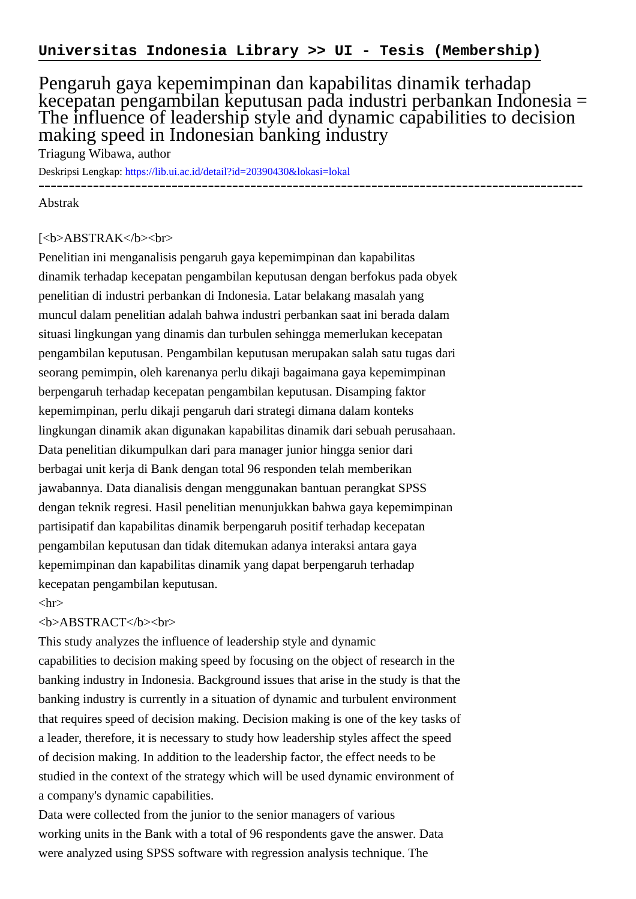## Pengaruh gaya kepemimpinan dan kapabilitas dinamik terhadap kecepatan pengambilan keputusan pada industri perbankan Indonesia = The influence of leadership style and dynamic capabilities to decision making speed in Indonesian banking industry

Triagung Wibawa, author

Deskripsi Lengkap:<https://lib.ui.ac.id/detail?id=20390430&lokasi=lokal> ------------------------------------------------------------------------------------------

Abstrak

## [<b>ABSTRAK</b><br/>shr>

Penelitian ini menganalisis pengaruh gaya kepemimpinan dan kapabilitas dinamik terhadap kecepatan pengambilan keputusan dengan berfokus pada obyek penelitian di industri perbankan di Indonesia. Latar belakang masalah yang muncul dalam penelitian adalah bahwa industri perbankan saat ini berada dalam situasi lingkungan yang dinamis dan turbulen sehingga memerlukan kecepatan pengambilan keputusan. Pengambilan keputusan merupakan salah satu tugas dari seorang pemimpin, oleh karenanya perlu dikaji bagaimana gaya kepemimpinan berpengaruh terhadap kecepatan pengambilan keputusan. Disamping faktor kepemimpinan, perlu dikaji pengaruh dari strategi dimana dalam konteks lingkungan dinamik akan digunakan kapabilitas dinamik dari sebuah perusahaan. Data penelitian dikumpulkan dari para manager junior hingga senior dari berbagai unit kerja di Bank dengan total 96 responden telah memberikan jawabannya. Data dianalisis dengan menggunakan bantuan perangkat SPSS dengan teknik regresi. Hasil penelitian menunjukkan bahwa gaya kepemimpinan partisipatif dan kapabilitas dinamik berpengaruh positif terhadap kecepatan pengambilan keputusan dan tidak ditemukan adanya interaksi antara gaya kepemimpinan dan kapabilitas dinamik yang dapat berpengaruh terhadap kecepatan pengambilan keputusan.

## $\langle$ hr $>$

## <b>ABSTRACT</b><br>

This study analyzes the influence of leadership style and dynamic capabilities to decision making speed by focusing on the object of research in the banking industry in Indonesia. Background issues that arise in the study is that the banking industry is currently in a situation of dynamic and turbulent environment that requires speed of decision making. Decision making is one of the key tasks of a leader, therefore, it is necessary to study how leadership styles affect the speed of decision making. In addition to the leadership factor, the effect needs to be studied in the context of the strategy which will be used dynamic environment of a company's dynamic capabilities.

Data were collected from the junior to the senior managers of various working units in the Bank with a total of 96 respondents gave the answer. Data were analyzed using SPSS software with regression analysis technique. The